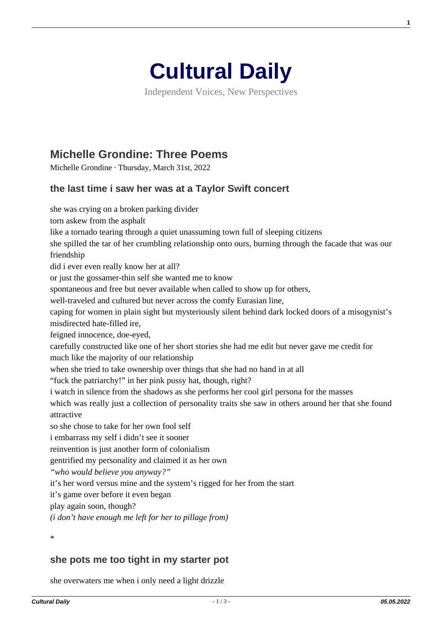

Independent Voices, New Perspectives

## **[Michelle Grondine: Three Poems](https://culturaldaily.com/michelle-grondine-three-poems/)**

Michelle Grondine · Thursday, March 31st, 2022

## **the last time i saw her was at a Taylor Swift concert**

she was crying on a broken parking divider torn askew from the asphalt like a tornado tearing through a quiet unassuming town full of sleeping citizens she spilled the tar of her crumbling relationship onto ours, burning through the facade that was our friendship did i ever even really know her at all? or just the gossamer-thin self she wanted me to know spontaneous and free but never available when called to show up for others, well-traveled and cultured but never across the comfy Eurasian line, caping for women in plain sight but mysteriously silent behind dark locked doors of a misogynist's misdirected hate-filled ire, feigned innocence, doe-eyed, carefully constructed like one of her short stories she had me edit but never gave me credit for much like the majority of our relationship when she tried to take ownership over things that she had no hand in at all "fuck the patriarchy!" in her pink pussy hat, though, right? i watch in silence from the shadows as she performs her cool girl persona for the masses which was really just a collection of personality traits she saw in others around her that she found attractive so she chose to take for her own fool self i embarrass my self i didn't see it sooner reinvention is just another form of colonialism gentrified my personality and claimed it as her own *"who would believe you anyway?"* it's her word versus mine and the system's rigged for her from the start it's game over before it even began play again soon, though? *(i don't have enough me left for her to pillage from)*

\*

## **she pots me too tight in my starter pot**

she overwaters me when i only need a light drizzle

**1**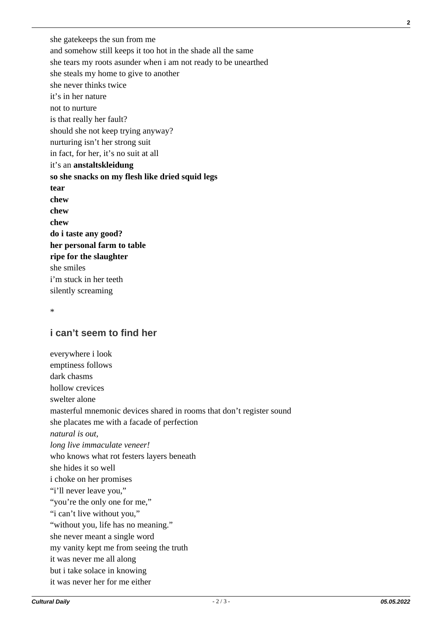she gatekeeps the sun from me and somehow still keeps it too hot in the shade all the same she tears my roots asunder when i am not ready to be unearthed she steals my home to give to another she never thinks twice it's in her nature not to nurture is that really her fault? should she not keep trying anyway? nurturing isn't her strong suit in fact, for her, it's no suit at all it's an **anstaltskleidung so she snacks on my flesh like dried squid legs tear chew chew chew do i taste any good? her personal farm to table ripe for the slaughter** she smiles i'm stuck in her teeth silently screaming

\*

## **i can't seem to find her**

everywhere i look emptiness follows dark chasms hollow crevices swelter alone masterful mnemonic devices shared in rooms that don't register sound she placates me with a facade of perfection *natural is out, long live immaculate veneer!* who knows what rot festers layers beneath she hides it so well i choke on her promises "i'll never leave you," "you're the only one for me," "i can't live without you," "without you, life has no meaning." she never meant a single word my vanity kept me from seeing the truth it was never me all along but i take solace in knowing it was never her for me either